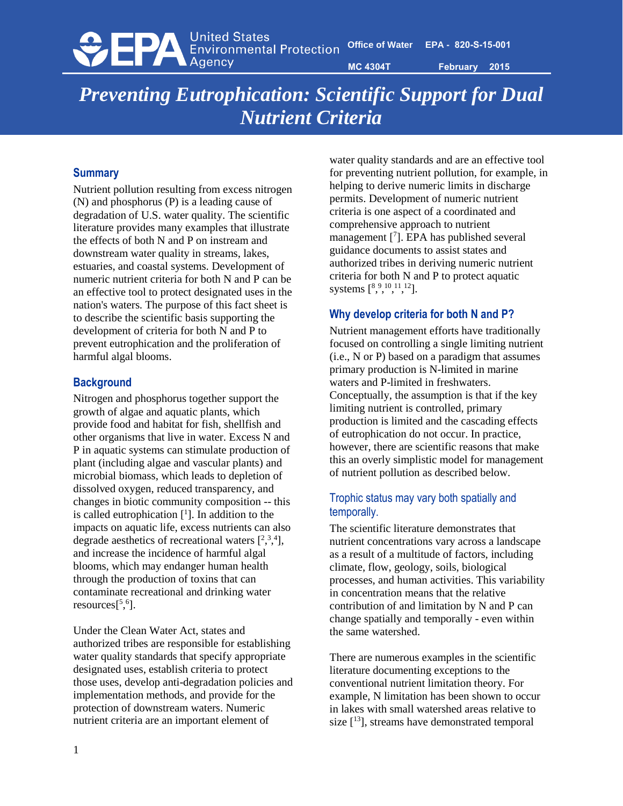**ODER** United States<br> **EPA** Environmental Protection

**MC 4304T February 2015**

# *Preventing Eutrophication: Scientific Support for Dual Nutrient Criteria*

## **Summary**

Nutrient pollution resulting from excess nitrogen (N) and phosphorus (P) is a leading cause of degradation of U.S. water quality. The scientific literature provides many examples that illustrate the effects of both N and P on instream and downstream water quality in streams, lakes, estuaries, and coastal systems. Development of numeric nutrient criteria for both N and P can be an effective tool to protect designated uses in the nation's waters. The purpose of this fact sheet is to describe the scientific basis supporting the development of criteria for both N and P to prevent eutrophication and the proliferation of harmful algal blooms.

# **Background**

Nitrogen and phosphorus together support the growth of algae and aquatic plants, which provide food and habitat for fish, shellfish and other organisms that live in water. Excess N and P in aquatic systems can stimulate production of plant (including algae and vascular plants) and microbial biomass, which leads to depletion of dissolved oxygen, reduced transparency, and changes in biotic community composition -- this is called eutrophication [ 1 ]. In addition to the impacts on aquatic life, excess nutrients can also degrade aesthetics of recreational waters  $[^{2,3,4}$ , and increase the incidence of harmful algal blooms, which may endanger human health through the production of toxins that can contaminate recreational and drinking water  $resources[^{5,6}].$ 

Under the Clean Water Act, states and authorized tribes are responsible for establishing water quality standards that specify appropriate designated uses, establish criteria to protect those uses, develop anti-degradation policies and implementation methods, and provide for the protection of downstream waters. Numeric nutrient criteria are an important element of

water quality standards and are an effective tool for preventing nutrient pollution, for example, in helping to derive numeric limits in discharge permits. Development of numeric nutrient criteria is one aspect of a coordinated and comprehensive approach to nutrient management [<sup>7</sup> ]. EPA has published several guidance documents to assist states and authorized tribes in deriving numeric nutrient criteria for both N and P to protect aquatic systems  $[8, 9, 10, 11, 12]$ .

# **Why develop criteria for both N and P?**

Nutrient management efforts have traditionally focused on controlling a single limiting nutrient (i.e., N or P) based on a paradigm that assumes primary production is N-limited in marine waters and P-limited in freshwaters. Conceptually, the assumption is that if the key limiting nutrient is controlled, primary production is limited and the cascading effects of eutrophication do not occur. In practice, however, there are scientific reasons that make this an overly simplistic model for management of nutrient pollution as described below.

# Trophic status may vary both spatially and temporally.

The scientific literature demonstrates that nutrient concentrations vary across a landscape as a result of a multitude of factors, including climate, flow, geology, soils, biological processes, and human activities. This variability in concentration means that the relative contribution of and limitation by N and P can change spatially and temporally - even within the same watershed.

There are numerous examples in the scientific literature documenting exceptions to the conventional nutrient limitation theory. For example, N limitation has been shown to occur in lakes with small watershed areas relative to size  $[13]$ , streams have demonstrated temporal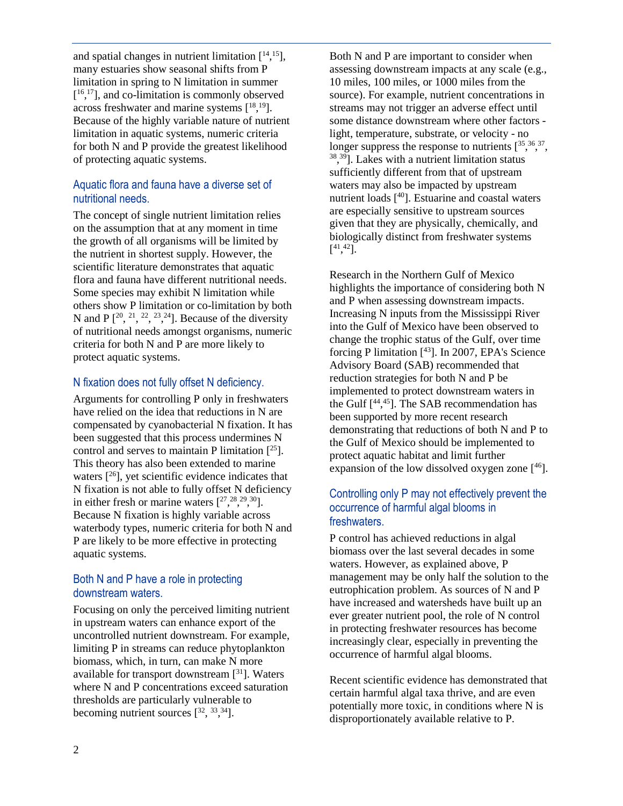and spatial changes in nutrient limitation  $[14, 15]$ , many estuaries show seasonal shifts from P limitation in spring to N limitation in summer [<sup>16,17</sup>], and co-limitation is commonly observed across freshwater and marine systems  $[18, 19]$ . Because of the highly variable nature of nutrient limitation in aquatic systems, numeric criteria for both N and P provide the greatest likelihood of protecting aquatic systems.

#### Aquatic flora and fauna have a diverse set of nutritional needs.

The concept of single nutrient limitation relies on the assumption that at any moment in time the growth of all organisms will be limited by the nutrient in shortest supply. However, the scientific literature demonstrates that aquatic flora and fauna have different nutritional needs. Some species may exhibit N limitation while others show P limitation or co-limitation by both N and P  $[2^0, 2^1, 2^2, 2^3, 2^4]$ . Because of the diversity of nutritional needs amongst organisms, numeric criteria for both N and P are more likely to protect aquatic systems.

## N fixation does not fully offset N deficiency.

Arguments for controlling P only in freshwaters have relied on the idea that reductions in N are compensated by cyanobacterial N fixation. It has been suggested that this process undermines N control and serves to maintain P limitation  $[<sup>25</sup>]$ . This theory has also been extended to marine waters  $[26]$ , yet scientific evidence indicates that N fixation is not able to fully offset N deficiency in either fresh or marine waters  $[27, \frac{28}{3}, \frac{29}{3}, \frac{30}{3}]$ . Because N fixation is highly variable across waterbody types, numeric criteria for both N and P are likely to be more effective in protecting aquatic systems.

## Both N and P have a role in protecting downstream waters.

Focusing on only the perceived limiting nutrient in upstream waters can enhance export of the uncontrolled nutrient downstream. For example, limiting P in streams can reduce phytoplankton biomass, which, in turn, can make N more available for transport downstream  $[31]$ . Waters where N and P concentrations exceed saturation thresholds are particularly vulnerable to becoming nutrient sources  $[3^2, 3^3, 3^4]$ .

Both N and P are important to consider when assessing downstream impacts at any scale (e.g., 10 miles, 100 miles, or 1000 miles from the source). For example, nutrient concentrations in streams may not trigger an adverse effect until some distance downstream where other factors light, temperature, substrate, or velocity - no longer suppress the response to nutrients  $[35, 36, 37, 37]$ 38 , <sup>39</sup>]. Lakes with a nutrient limitation status sufficiently different from that of upstream waters may also be impacted by upstream nutrient loads [ <sup>40</sup>]. Estuarine and coastal waters are especially sensitive to upstream sources given that they are physically, chemically, and biologically distinct from freshwater systems  $[$ <sup>41</sup>,<sup>42</sup>].

Research in the Northern Gulf of Mexico highlights the importance of considering both N and P when assessing downstream impacts. Increasing N inputs from the Mississippi River into the Gulf of Mexico have been observed to change the trophic status of the Gulf, over time forcing P limitation [ <sup>43</sup>]. In 2007, EPA's Science Advisory Board (SAB) recommended that reduction strategies for both N and P be implemented to protect downstream waters in the Gulf  $[44, 45]$ . The SAB recommendation has been supported by more recent research demonstrating that reductions of both N and P to the Gulf of Mexico should be implemented to protect aquatic habitat and limit further expansion of the low dissolved oxygen zone  $[46]$ .

## Controlling only P may not effectively prevent the occurrence of harmful algal blooms in freshwaters.

P control has achieved reductions in algal biomass over the last several decades in some waters. However, as explained above, P management may be only half the solution to the eutrophication problem. As sources of N and P have increased and watersheds have built up an ever greater nutrient pool, the role of N control in protecting freshwater resources has become increasingly clear, especially in preventing the occurrence of harmful algal blooms.

Recent scientific evidence has demonstrated that certain harmful algal taxa thrive, and are even potentially more toxic, in conditions where N is disproportionately available relative to P.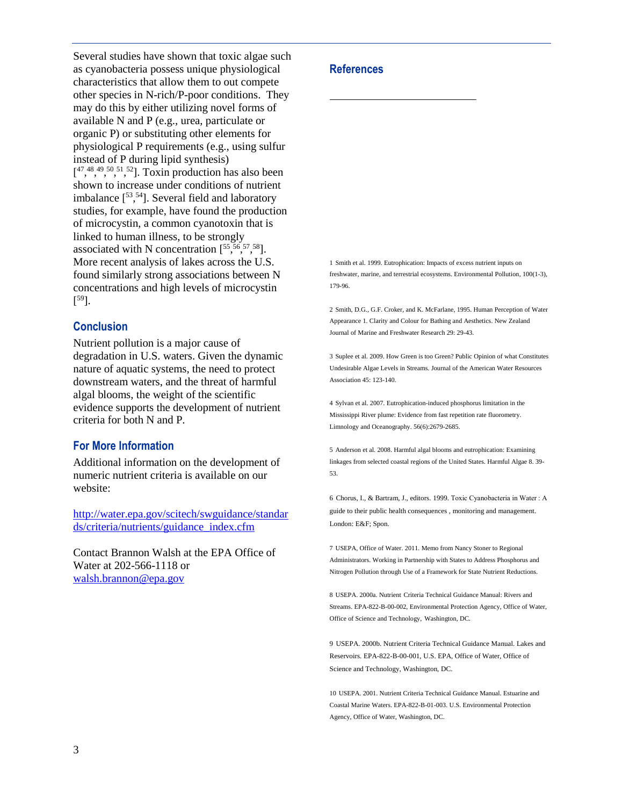Several studies have shown that toxic algae such as cyanobacteria possess unique physiological characteristics that allow them to out compete other species in N-rich/P-poor conditions. They may do this by either utilizing novel forms of available N and P (e.g., urea, particulate or organic P) or substituting other elements for physiological P requirements (e.g., using sulfur instead of P during lipid synthesis)  $[1, 48, 49, 50, 51, 52]$ . Toxin production has also been shown to increase under conditions of nutrient imbalance  $[53, 54]$ . Several field and laboratory studies, for example, have found the production of microcystin, a common cyanotoxin that is linked to human illness, to be strongly associated with N concentration  $[55, 56, 57, 58]$ . More recent analysis of lakes across the U.S. found similarly strong associations between N concentrations and high levels of microcystin  $[$ <sup>59</sup>].

#### **Conclusion**

Nutrient pollution is a major cause of degradation in U.S. waters. Given the dynamic nature of aquatic systems, the need to protect downstream waters, and the threat of harmful algal blooms, the weight of the scientific evidence supports the development of nutrient criteria for both N and P.

#### **For More Information**

Additional information on the development of numeric nutrient criteria is available on our website:

[http://water.epa.gov/scitech/swguidance/standar](http://water.epa.gov/scitech/swguidance/standards/criteria/nutrients/guidance_index.cfm) [ds/criteria/nutrients/guidance\\_index.cfm](http://water.epa.gov/scitech/swguidance/standards/criteria/nutrients/guidance_index.cfm)

Contact Brannon Walsh at the EPA Office of Water at 202-566-1118 or [walsh.brannon@epa.gov](mailto:walsh.brannon@epa.gov)

#### **References**

l

1 Smith et al. 1999. Eutrophication: Impacts of excess nutrient inputs on freshwater, marine, and terrestrial ecosystems. Environmental Pollution, 100(1-3), 179-96.

2 Smith, D.G., G.F. Croker, and K. McFarlane, 1995. Human Perception of Water Appearance 1. Clarity and Colour for Bathing and Aesthetics. New Zealand Journal of Marine and Freshwater Research 29: 29-43.

3 Suplee et al. 2009. How Green is too Green? Public Opinion of what Constitutes Undesirable Algae Levels in Streams. Journal of the American Water Resources Association 45: 123-140.

4 Sylvan et al. 2007. Eutrophication-induced phosphorus limitation in the Mississippi River plume: Evidence from fast repetition rate fluorometry. Limnology and Oceanography. 56(6):2679-2685.

5 Anderson et al. 2008. Harmful algal blooms and eutrophication: Examining linkages from selected coastal regions of the United States. Harmful Algae 8. 39- 53.

6 Chorus, I., & Bartram, J., editors. 1999. Toxic Cyanobacteria in Water : A guide to their public health consequences , monitoring and management. London: E&F; Spon.

7 USEPA, Office of Water. 2011. Memo from Nancy Stoner to Regional Administrators. Working in Partnership with States to Address Phosphorus and Nitrogen Pollution through Use of a Framework for State Nutrient Reductions.

8 USEPA. 2000a. Nutrient Criteria Technical Guidance Manual: Rivers and Streams. EPA-822-B-00-002, Environmental Protection Agency, Office of Water, Office of Science and Technology, Washington, DC.

9 USEPA. 2000b. Nutrient Criteria Technical Guidance Manual. Lakes and Reservoirs. EPA-822-B-00-001, U.S. EPA, Office of Water, Office of Science and Technology, Washington, DC.

10 USEPA. 2001. Nutrient Criteria Technical Guidance Manual. Estuarine and Coastal Marine Waters. EPA-822-B-01-003. U.S. Environmental Protection Agency, Office of Water, Washington, DC.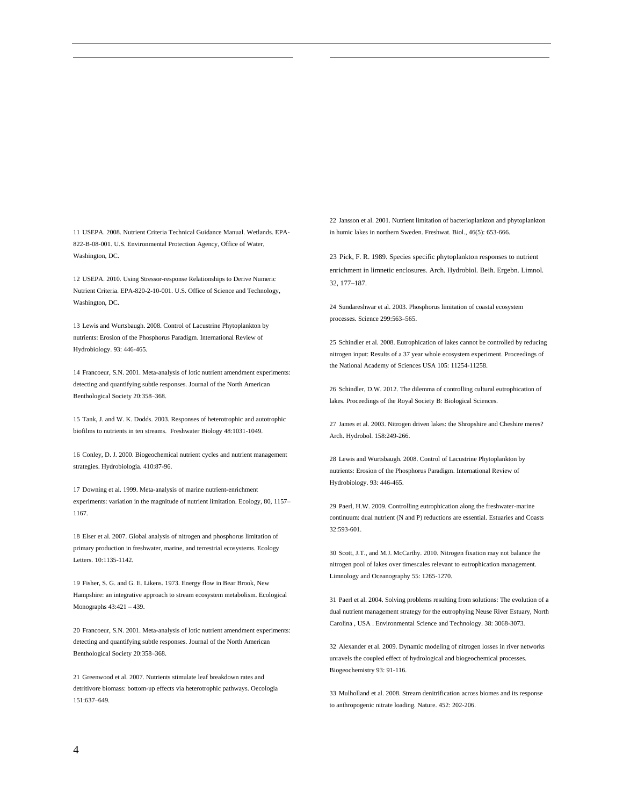11 USEPA. 2008. Nutrient Criteria Technical Guidance Manual. Wetlands. EPA-822-B-08-001. U.S. Environmental Protection Agency, Office of Water, Washington, DC.

12 USEPA. 2010. Using Stressor-response Relationships to Derive Numeric Nutrient Criteria. EPA-820-2-10-001. U.S. Office of Science and Technology, Washington, DC.

13 Lewis and Wurtsbaugh. 2008. Control of Lacustrine Phytoplankton by nutrients: Erosion of the Phosphorus Paradigm. International Review of Hydrobiology. 93: 446-465.

14 Francoeur, S.N. 2001. Meta-analysis of lotic nutrient amendment experiments: detecting and quantifying subtle responses. Journal of the North American Benthological Society 20:358–368.

15 [Tank, J. and W. K. Dodds. 2003. Responses of heterotrophic and autotrophic](http://www.k-state.edu/doddslab/journalarts/tank%20and%20dodds%20freswatbiol%202003.pdf)  biofilms to nutrients in ten streams. [Freshwater Biology 48:1031-1049.](http://www.k-state.edu/doddslab/journalarts/tank%20and%20dodds%20freswatbiol%202003.pdf) 

16 Conley, D. J. 2000. Biogeochemical nutrient cycles and nutrient management strategies. Hydrobiologia. 410:87-96.

17 Downing et al. 1999. Meta-analysis of marine nutrient-enrichment experiments: variation in the magnitude of nutrient limitation. Ecology, 80, 1157– 1167.

18 Elser et al. 2007. Global analysis of nitrogen and phosphorus limitation of primary production in freshwater, marine, and terrestrial ecosystems. Ecology Letters. 10:1135-1142.

19 Fisher, S. G. and G. E. Likens. 1973. Energy flow in Bear Brook, New Hampshire: an integrative approach to stream ecosystem metabolism. Ecological Monographs 43:421 – 439.

20 Francoeur, S.N. 2001. Meta-analysis of lotic nutrient amendment experiments: detecting and quantifying subtle responses. Journal of the North American Benthological Society 20:358–368.

21 Greenwood et al. 2007. Nutrients stimulate leaf breakdown rates and detritivore biomass: bottom-up effects via heterotrophic pathways. Oecologia 151:637–649.

22 Jansson et al. 2001. Nutrient limitation of bacterioplankton and phytoplankton in humic lakes in northern Sweden. Freshwat. Biol., 46(5): 653-666.

l

23 Pick, F. R. 1989. Species specific phytoplankton responses to nutrient enrichment in limnetic enclosures. Arch. Hydrobiol. Beih. Ergebn. Limnol. 32, 177–187.

24 Sundareshwar et al. 2003. Phosphorus limitation of coastal ecosystem processes. Science 299:563–565.

25 Schindler et al. 2008. Eutrophication of lakes cannot be controlled by reducing nitrogen input: Results of a 37 year whole ecosystem experiment. Proceedings of the National Academy of Sciences USA 105: 11254-11258.

26 Schindler, D.W. 2012. The dilemma of controlling cultural eutrophication of lakes. Proceedings of the Royal Society B: Biological Sciences.

27 James et al. 2003. Nitrogen driven lakes: the Shropshire and Cheshire meres? Arch. Hydrobol. 158:249-266.

28 Lewis and Wurtsbaugh. 2008. Control of Lacustrine Phytoplankton by nutrients: Erosion of the Phosphorus Paradigm. International Review of Hydrobiology. 93: 446-465.

29 Paerl, H.W. 2009. Controlling eutrophication along the freshwater-marine continuum: dual nutrient (N and P) reductions are essential. Estuaries and Coasts 32:593-601.

30 Scott, J.T., and M.J. McCarthy. 2010. Nitrogen fixation may not balance the nitrogen pool of lakes over timescales relevant to eutrophication management. Limnology and Oceanography 55: 1265-1270.

31 Paerl et al. 2004. Solving problems resulting from solutions: The evolution of a dual nutrient management strategy for the eutrophying Neuse River Estuary, North Carolina , USA . Environmental Science and Technology. 38: 3068-3073.

32 Alexander et al. 2009. Dynamic modeling of nitrogen losses in river networks unravels the coupled effect of hydrological and biogeochemical processes. Biogeochemistry 93: 91-116.

33 Mulholland et al. 2008. Stream denitrification across biomes and its response to anthropogenic nitrate loading. Nature. 452: 202-206.

l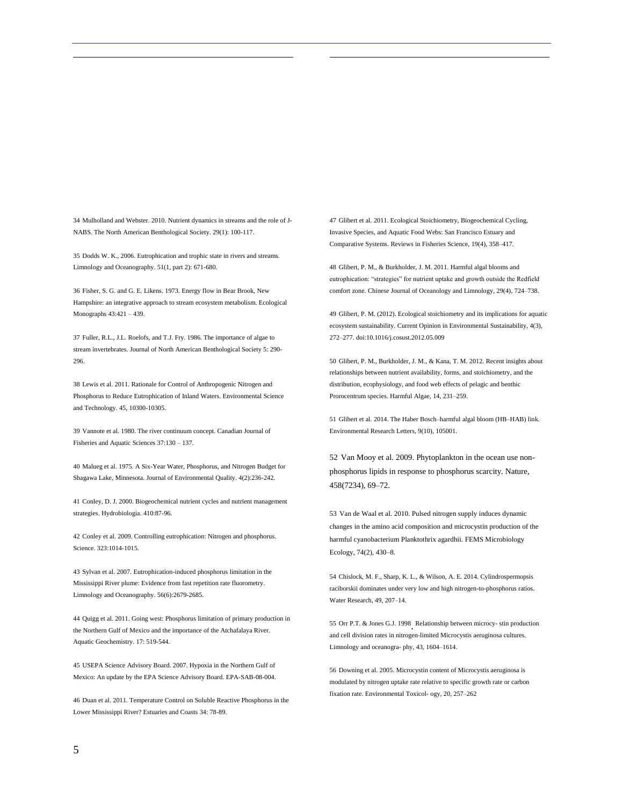34 Mulholland and Webster. 2010. Nutrient dynamics in streams and the role of J-NABS. The North American Benthological Society. 29(1): 100-117.

35 Dodds W. K., 2006. Eutrophication and trophic state in rivers and streams. Limnology and Oceanography. 51(1, part 2): 671-680.

36 Fisher, S. G. and G. E. Likens. 1973. Energy flow in Bear Brook, New Hampshire: an integrative approach to stream ecosystem metabolism. Ecological Monographs 43:421 – 439.

37 Fuller, R.L., J.L. Roelofs, and T.J. Fry. 1986. The importance of algae to stream invertebrates. Journal of North American Benthological Society 5: 290- 296.

38 Lewis et al. 2011. Rationale for Control of Anthropogenic Nitrogen and Phosphorus to Reduce Eutrophication of Inland Waters. Environmental Science and Technology. 45, 10300-10305.

39 Vannote et al. 1980. The river continuum concept. Canadian Journal of Fisheries and Aquatic Sciences 37:130 – 137.

40 Malueg et al. 1975. A Six-Year Water, Phosphorus, and Nitrogen Budget for Shagawa Lake, Minnesota. Journal of Environmental Quality. 4(2):236-242.

41 Conley, D. J. 2000. Biogeochemical nutrient cycles and nutrient management strategies. Hydrobiologia. 410:87-96.

42 Conley et al. 2009. Controlling eutrophication: Nitrogen and phosphorus. Science. 323:1014-1015.

43 Sylvan et al. 2007. Eutrophication-induced phosphorus limitation in the Mississippi River plume: Evidence from fast repetition rate fluorometry. Limnology and Oceanography. 56(6):2679-2685.

44 Quigg et al. 2011. Going west: Phosphorus limitation of primary production in the Northern Gulf of Mexico and the importance of the Atchafalaya River. Aquatic Geochemistry. 17: 519-544.

45 USEPA Science Advisory Board. 2007. Hypoxia in the Northern Gulf of Mexico: An update by the EPA Science Advisory Board. EPA-SAB-08-004.

46 Duan et al. 2011. Temperature Control on Soluble Reactive Phosphorus in the Lower Mississippi River? Estuaries and Coasts 34: 78-89.

47 Glibert et al. 2011. Ecological Stoichiometry, Biogeochemical Cycling, Invasive Species, and Aquatic Food Webs: San Francisco Estuary and Comparative Systems. Reviews in Fisheries Science, 19(4), 358–417.

l

48 Glibert, P. M., & Burkholder, J. M. 2011. Harmful algal blooms and eutrophication: "strategies" for nutrient uptake and growth outside the Redfield comfort zone. Chinese Journal of Oceanology and Limnology, 29(4), 724–738.

49 Glibert, P. M. (2012). Ecological stoichiometry and its implications for aquatic ecosystem sustainability. Current Opinion in Environmental Sustainability, 4(3), 272–277. doi:10.1016/j.cosust.2012.05.009

50 Glibert, P. M., Burkholder, J. M., & Kana, T. M. 2012. Recent insights about relationships between nutrient availability, forms, and stoichiometry, and the distribution, ecophysiology, and food web effects of pelagic and benthic Prorocentrum species. Harmful Algae, 14, 231–259.

51 Glibert et al. 2014. The Haber Bosch–harmful algal bloom (HB–HAB) link. Environmental Research Letters, 9(10), 105001.

52 Van Mooy et al. 2009. Phytoplankton in the ocean use nonphosphorus lipids in response to phosphorus scarcity. Nature, 458(7234), 69–72.

53 Van de Waal et al. 2010. Pulsed nitrogen supply induces dynamic changes in the amino acid composition and microcystin production of the harmful cyanobacterium Planktothrix agardhii. FEMS Microbiology Ecology, 74(2), 430–8.

54 Chislock, M. F., Sharp, K. L., & Wilson, A. E. 2014. Cylindrospermopsis raciborskii dominates under very low and high nitrogen-to-phosphorus ratios. Water Research, 49, 207–14.

55 Orr P.T. & Jones G.J. 1998 . Relationship between microcy- stin production and cell division rates in nitrogen-limited Microcystis aeruginosa cultures. Limnology and oceanogra- phy, 43, 1604–1614.

56 Downing et al. 2005. Microcystin content of Microcystis aeruginosa is modulated by nitrogen uptake rate relative to specific growth rate or carbon fixation rate. Environmental Toxicol- ogy, 20, 257–262

l